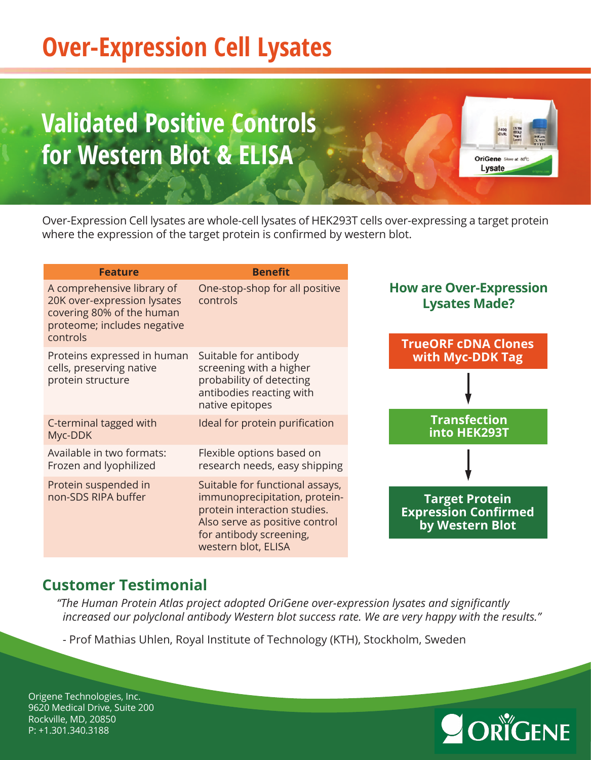# **Over-Expression Cell Lysates**

# **Malidated Positive Controls for Western Blot & ELISA**



Ordinary compression composites are innote composites of natities recombinant custom protein where the expression of the target protein is confirmed by western blot. from different expression systems, in addition to the standard catalog items. Over-Expression Cell lysates are whole-cell lysates of HEK293T cells over-expressing a target protein

| <b>Feature</b>                                                                                                                    | <b>Benefit</b>                                                                                                                                                                       |                                                                                      |  |
|-----------------------------------------------------------------------------------------------------------------------------------|--------------------------------------------------------------------------------------------------------------------------------------------------------------------------------------|--------------------------------------------------------------------------------------|--|
| A comprehensive library of<br>20K over-expression lysates<br>covering 80% of the human<br>proteome; includes negative<br>controls | One-stop-shop for all positive<br>controls                                                                                                                                           | <b>How are Over-Expression</b><br><b>Lysates Made?</b><br><b>TrueORF cDNA Clones</b> |  |
| Proteins expressed in human                                                                                                       | Suitable for antibody                                                                                                                                                                | with Myc-DDK Tag                                                                     |  |
| cells, preserving native<br>protein structure                                                                                     | screening with a higher<br>probability of detecting<br>antibodies reacting with<br>native epitopes                                                                                   |                                                                                      |  |
| C-terminal tagged with<br>Myc-DDK                                                                                                 | Ideal for protein purification                                                                                                                                                       | <b>Transfection</b><br>into HEK293T                                                  |  |
| Available in two formats:<br>Frozen and lyophilized                                                                               | Flexible options based on<br>research needs, easy shipping                                                                                                                           |                                                                                      |  |
| Protein suspended in<br>non-SDS RIPA buffer                                                                                       | Suitable for functional assays,<br>immunoprecipitation, protein-<br>protein interaction studies.<br>Also serve as positive control<br>for antibody screening,<br>western blot, ELISA | <b>Target Protein</b><br><b>Expression Confirmed</b><br>by Western Blot              |  |

### **Customer Testimonial**

For more information, please visit *"The Human Protein Atlas project adopted OriGene over-expression lysates and significantly* increased our polyclonal antibody Western blot success rate. We are very happy with the results."<br>-

- Prof Mathias Uhlen, Royal Institute of Technology (KTH), Stockholm, Sweden

OriGene Technologies, Inc. 9620 Medical Drive, Suite 200 9620 Medical Drive. Suite 200 Rockville, MD, 20850 Rockville, MD, 20850 P: +1.301.340.3188P: +1.301.340.3188 custsupport@origene.com Origene Technologies, Inc.